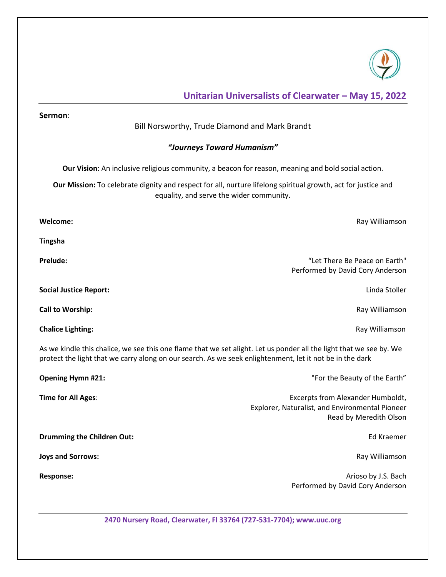

# **Unitarian Universalists of Clearwater – May 15, 2022**

| Sermon:<br>Bill Norsworthy, Trude Diamond and Mark Brandt                                                                                                                                                                       |                                                                                                                |
|---------------------------------------------------------------------------------------------------------------------------------------------------------------------------------------------------------------------------------|----------------------------------------------------------------------------------------------------------------|
|                                                                                                                                                                                                                                 |                                                                                                                |
| "Journeys Toward Humanism"                                                                                                                                                                                                      |                                                                                                                |
| Our Vision: An inclusive religious community, a beacon for reason, meaning and bold social action.                                                                                                                              |                                                                                                                |
| Our Mission: To celebrate dignity and respect for all, nurture lifelong spiritual growth, act for justice and<br>equality, and serve the wider community.                                                                       |                                                                                                                |
| Welcome:                                                                                                                                                                                                                        | Ray Williamson                                                                                                 |
| <b>Tingsha</b>                                                                                                                                                                                                                  |                                                                                                                |
| <b>Prelude:</b>                                                                                                                                                                                                                 | "Let There Be Peace on Earth"<br>Performed by David Cory Anderson                                              |
| <b>Social Justice Report:</b>                                                                                                                                                                                                   | Linda Stoller                                                                                                  |
| <b>Call to Worship:</b>                                                                                                                                                                                                         | Ray Williamson                                                                                                 |
| <b>Chalice Lighting:</b>                                                                                                                                                                                                        | Ray Williamson                                                                                                 |
| As we kindle this chalice, we see this one flame that we set alight. Let us ponder all the light that we see by. We<br>protect the light that we carry along on our search. As we seek enlightenment, let it not be in the dark |                                                                                                                |
| <b>Opening Hymn #21:</b>                                                                                                                                                                                                        | "For the Beauty of the Earth"                                                                                  |
| Time for All Ages:                                                                                                                                                                                                              | Excerpts from Alexander Humboldt,<br>Explorer, Naturalist, and Environmental Pioneer<br>Read by Meredith Olson |
| <b>Drumming the Children Out:</b>                                                                                                                                                                                               | Ed Kraemer                                                                                                     |
| <b>Joys and Sorrows:</b>                                                                                                                                                                                                        | Ray Williamson                                                                                                 |
| Response:                                                                                                                                                                                                                       | Arioso by J.S. Bach<br>Performed by David Cory Anderson                                                        |
|                                                                                                                                                                                                                                 |                                                                                                                |

**2470 Nursery Road, Clearwater, Fl 33764 (727-531-7704); www.uuc.org**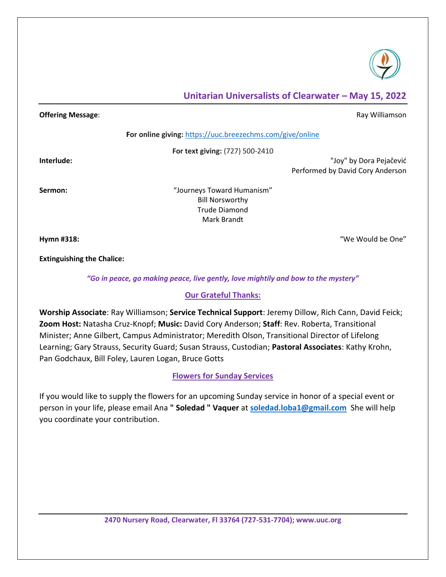

## **Unitarian Universalists of Clearwater – May 15, 2022**

#### **Offering Message:** Ray Williamson **Contract Contract Contract Contract Contract Contract Contract Contract Contract Contract Contract Contract Contract Contract Contract Contract Contract Contract Contract Contract Contra**

**For online giving:** <https://uuc.breezechms.com/give/online>

**For text giving:** (727) 500-2410

**Interlude:** "Joy" by Dora Pejačević Performed by David Cory Anderson

**Sermon:** "Journeys Toward Humanism" Bill Norsworthy Trude Diamond Mark Brandt

**Hymn #318:** "We Would be One"

**Extinguishing the Chalice:** 

*"Go in peace, go making peace, live gently, love mightily and bow to the mystery"*

#### **Our Grateful Thanks:**

**Worship Associate**: Ray Williamson; **Service Technical Support**: Jeremy Dillow, Rich Cann, David Feick; **Zoom Host:** Natasha Cruz-Knopf; **Music:** David Cory Anderson; **Staff**: Rev. Roberta, Transitional Minister; Anne Gilbert, Campus Administrator; Meredith Olson, Transitional Director of Lifelong Learning; Gary Strauss, Security Guard; Susan Strauss, Custodian; **Pastoral Associates**: Kathy Krohn, Pan Godchaux, Bill Foley, Lauren Logan, Bruce Gotts

## **Flowers for Sunday Services**

If you would like to supply the flowers for an upcoming Sunday service in honor of a special event or person in your life, please email Ana **" Soledad " Vaquer** at **[soledad.loba1@gmail.com](mailto:soledad.loba1@gmail.com)** She will help you coordinate your contribution.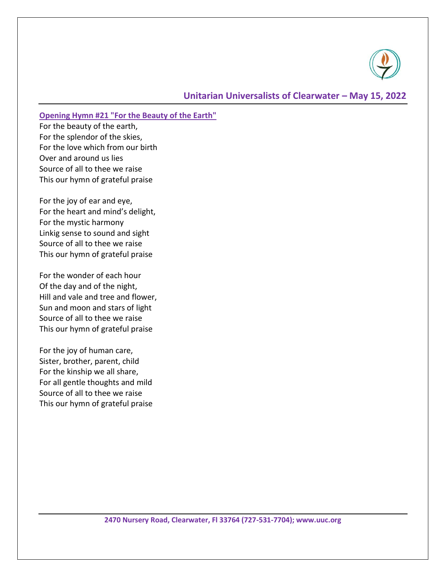

### **Opening Hymn #21 "For the Beauty of the Earth"**

For the beauty of the earth, For the splendor of the skies, For the love which from our birth Over and around us lies Source of all to thee we raise This our hymn of grateful praise

For the joy of ear and eye, For the heart and mind's delight, For the mystic harmony Linkig sense to sound and sight Source of all to thee we raise This our hymn of grateful praise

For the wonder of each hour Of the day and of the night, Hill and vale and tree and flower, Sun and moon and stars of light Source of all to thee we raise This our hymn of grateful praise

For the joy of human care, Sister, brother, parent, child For the kinship we all share, For all gentle thoughts and mild Source of all to thee we raise This our hymn of grateful praise